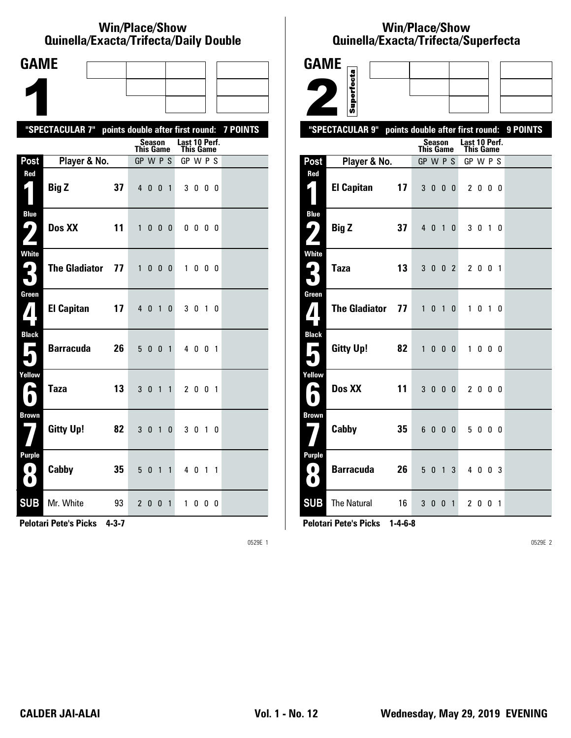#### **Win/Place/Show Qui nel la/Exacta/Tri fecta/Daily Dou ble**

| <b>GAME</b>                              |                                                           |                                                |                |                            |                   |  |
|------------------------------------------|-----------------------------------------------------------|------------------------------------------------|----------------|----------------------------|-------------------|--|
|                                          |                                                           |                                                |                |                            |                   |  |
|                                          |                                                           |                                                |                |                            |                   |  |
|                                          | "SPECTACULAR 7" points double after first round: 7 POINTS |                                                |                |                            |                   |  |
|                                          |                                                           | Season<br>This Game                            |                | Last 10 Perf.<br>This Game |                   |  |
| Post                                     | Player & No.                                              | GP W P S                                       |                | GP W P S                   |                   |  |
| Red                                      | <b>Big Z</b><br>37                                        | 4 0 0                                          | $\overline{1}$ | 3000                       |                   |  |
| <b>Blue</b><br>ŋ                         | Dos XX<br>11                                              | $\mathbf{1}$<br>$\mathbf{0}$<br>0 <sub>0</sub> |                | $0\,0\,0\,0$               |                   |  |
| White<br>3                               | <b>The Gladiator</b><br>77                                | $\mathbf{1}$<br>0 <sub>0</sub>                 | 0              | $\mathbf{1}$               | $0\quad 0\quad 0$ |  |
| Green<br>$\mathbf{Z}$                    | <b>El Capitan</b><br>17                                   | 4 0 1                                          | $\mathbf 0$    | 3 0 1 0                    |                   |  |
| <b>Black</b><br>$\overline{\phantom{a}}$ | <b>Barracuda</b><br>26                                    | 5 0<br>$\mathbf{0}$                            | $\overline{1}$ | 4 0 0 1                    |                   |  |
| Yellow<br>E                              | <b>Taza</b><br>13                                         | 3 <sub>0</sub><br>$\overline{1}$               | $\mathbf{1}$   | 2 0 0 1                    |                   |  |
| <b>Brown</b>                             | <b>Gitty Up!</b><br>82                                    | 3 0 1                                          | 0              | 3 0 1 0                    |                   |  |
| Purple<br>$\blacksquare$<br>O            | Cabby<br>35                                               | 5 <sub>0</sub><br>$\overline{1}$               | $\mathbf{1}$   | 40                         | $1\quad1$         |  |
| <b>SUB</b>                               | Mr. White<br>93                                           | 200                                            | $\overline{1}$ | 1000                       |                   |  |

**Pelotari Pete's Picks 4-3-7**

0529E 1

## **Win/Place/Show Qui nel la/Exacta/Tri fecta/Super fecta**

| <b>GAME</b>                          |                      |    |              |               |                |          |                            |                   |     |                                           |
|--------------------------------------|----------------------|----|--------------|---------------|----------------|----------|----------------------------|-------------------|-----|-------------------------------------------|
|                                      | Superfecta           |    |              |               |                |          |                            |                   |     |                                           |
|                                      |                      |    |              |               |                |          |                            |                   |     |                                           |
|                                      |                      |    |              |               |                |          |                            |                   |     |                                           |
|                                      | "SPECTACULAR 9"      |    |              |               |                |          |                            |                   |     | points double after first round: 9 POINTS |
|                                      |                      |    | This Game    | <b>Season</b> |                |          | Last 10 Perf.<br>This Game |                   |     |                                           |
| Post                                 | Player & No.         |    | GP W P S     |               |                |          | GP W P S                   |                   |     |                                           |
| Red<br>$\zeta$                       | <b>El Capitan</b>    | 17 |              | 3 0 0 0       |                |          |                            | 2 0 0 0           |     |                                           |
| <b>Blue</b><br>ر ما                  | <b>Big Z</b>         | 37 |              | 4 0 1         |                | $\Omega$ |                            | 3 <sub>0</sub>    | 1 0 |                                           |
| <b>White</b><br>$\blacktriangleleft$ | <b>Taza</b>          | 13 |              | 3002          |                |          |                            | 2 0 0 1           |     |                                           |
| Green<br>$\mathbf{Z}$                | <b>The Gladiator</b> | 77 | $\mathbf{1}$ | $0$ 1 $0$     |                |          |                            | 1 0 1 0           |     |                                           |
| <b>Black</b><br>П                    | <b>Gitty Up!</b>     | 82 | $\mathbf{1}$ | 0             | 0 <sub>0</sub> |          | $\mathbf{1}$               | $0\quad 0\quad 0$ |     |                                           |
| Yellow<br>L                          | Dos XX               | 11 |              | 3000          |                |          |                            | 2000              |     |                                           |
| <b>Brown</b>                         | Cabby                | 35 |              | 6000          |                |          |                            | 5000              |     |                                           |
| Purple<br>0.<br>$\bullet$            | <b>Barracuda</b>     | 26 | 5            | $\mathbf 0$   | $\overline{1}$ | 3        |                            | 4 0 0 3           |     |                                           |
| <b>SUB</b>                           | <b>The Natural</b>   | 16 |              | 3 0 0 1       |                |          |                            | 2 0 0 1           |     |                                           |

**Pelotari Pete's Picks 1-4-6-8**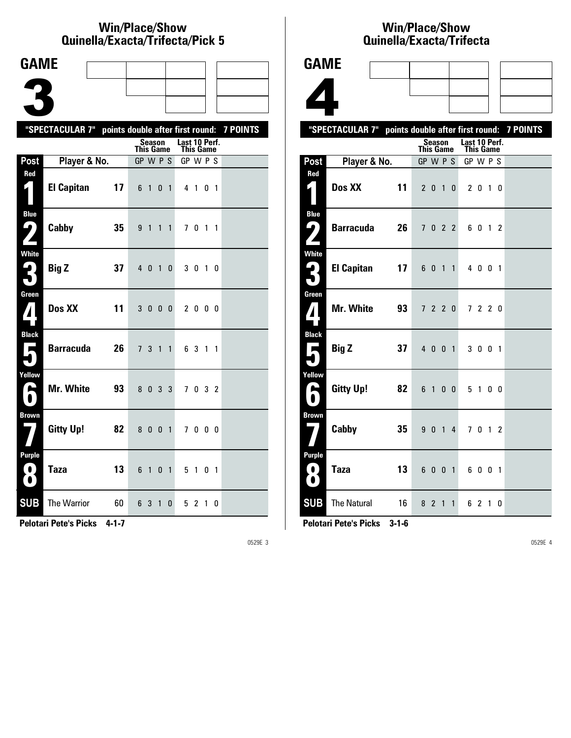#### **Win/Place/Show Qui nel la/Exacta/Tri fecta/Pick 5**

| <b>GAME</b>                        |                                                           |    |                                  |                   |              |                |                       |         |                     |  |
|------------------------------------|-----------------------------------------------------------|----|----------------------------------|-------------------|--------------|----------------|-----------------------|---------|---------------------|--|
|                                    |                                                           |    |                                  |                   |              |                |                       |         |                     |  |
|                                    |                                                           |    |                                  |                   |              |                |                       |         |                     |  |
|                                    |                                                           |    |                                  |                   |              |                |                       |         |                     |  |
|                                    | "SPECTACULAR 7" points double after first round: 7 POINTS |    |                                  | <b>Season</b>     |              |                | Last 10 Perf.         |         |                     |  |
| Post                               |                                                           |    | <b>This Game</b><br>$GP$ W $P$ S |                   |              |                | This Game<br>GP W P S |         |                     |  |
| Red                                | Player & No.                                              |    |                                  |                   |              |                |                       |         |                     |  |
| 1                                  | <b>El Capitan</b>                                         | 17 | 6                                | $\overline{1}$    | $\mathbf{0}$ | $\mathbf{1}$   |                       | 4 1 0 1 |                     |  |
| <b>Blue</b><br><u>( ما</u><br>Z    | Cabby                                                     | 35 | 9                                | $\overline{1}$    | 1            | $\mathbf{1}$   |                       | 70      | $1\quad1$           |  |
| White<br>3                         | <b>Big Z</b>                                              | 37 | 4 0                              |                   | $\mathbf{1}$ | 0              |                       | 3 0 1 0 |                     |  |
| Green<br>$\mathbf{Z}$              | Dos XX                                                    | 11 | 3                                | $0\quad 0\quad 0$ |              |                |                       | 2000    |                     |  |
| <b>Black</b><br>Е                  | <b>Barracuda</b>                                          | 26 | 7 <sup>1</sup>                   | 3                 | $\mathbf{1}$ | $\mathbf{1}$   |                       | 6 3 1 1 |                     |  |
| Yellow<br>ь                        | Mr. White                                                 | 93 | 8                                | 0                 | 3            | 3              | 7                     |         | $0 \quad 3 \quad 2$ |  |
| <b>Brown</b>                       | <b>Gitty Up!</b>                                          | 82 | 8 <sub>0</sub>                   |                   | $\mathbf{0}$ | $\overline{1}$ |                       | 7000    |                     |  |
| Purple<br>$\bullet$ :<br>$\bullet$ | <b>Taza</b>                                               | 13 | 6                                | $\overline{1}$    | 0            | $\overline{1}$ |                       | 5 1 0 1 |                     |  |
| <b>SUB</b>                         | The Warrior                                               | 60 | 6 3                              |                   | 1            | 0              |                       | 5 2 1 0 |                     |  |

**Pelotari Pete's Picks 4-1-7**

0529E 3

#### **Win/Place/Show Qui nel la/Exacta/Tri fecta**



|                                          | "SPECTACULAR 7" points double after first round: 7 POINTS |                  |         |                |                                   |         |   |   |  |
|------------------------------------------|-----------------------------------------------------------|------------------|---------|----------------|-----------------------------------|---------|---|---|--|
|                                          |                                                           | <b>This Game</b> | Season  |                | Last 10 Perf.<br><b>This Game</b> |         |   |   |  |
| Post                                     | Player & No.                                              | GP W P S         |         |                | GP W P S                          |         |   |   |  |
| Red<br>E I                               | Dos XX<br>11                                              |                  | 2010    |                |                                   | 2 0 1 0 |   |   |  |
| <b>Blue</b>                              |                                                           |                  |         |                |                                   |         |   |   |  |
| ر ما                                     | 26<br><b>Barracuda</b>                                    |                  | 7 0 2 2 |                |                                   | 6 0 1 2 |   |   |  |
| <b>White</b>                             | <b>El Capitan</b><br>17                                   |                  | 6 0 1 1 |                |                                   | 4 0 0 1 |   |   |  |
| Green<br>7                               | Mr. White<br>93                                           |                  | 7 2 2 0 |                |                                   | 7 2 2 0 |   |   |  |
| <b>Black</b><br>Ā                        | 37<br><b>Big Z</b>                                        |                  | 4 0 0 1 |                |                                   | 3 0 0 1 |   |   |  |
| Yellow<br>A<br>$\bullet$                 | 82<br><b>Gitty Up!</b>                                    |                  | 6 1 0 0 |                |                                   | 5 1 0 0 |   |   |  |
| <b>Brown</b>                             | Cabby<br>35                                               |                  | 9014    |                |                                   | 7 0 1 2 |   |   |  |
| Purple<br>$\boldsymbol{\mathrm{o}}$<br>0 | 13<br><b>Taza</b>                                         |                  | 6 0 0   | $\overline{1}$ |                                   | 6 0 0 1 |   |   |  |
| <b>SUB</b>                               | The Natural<br>16                                         |                  | 8 2 1   | $\mathbf{1}$   |                                   | 62      | 1 | 0 |  |

**Pelotari Pete's Picks 3-1-6**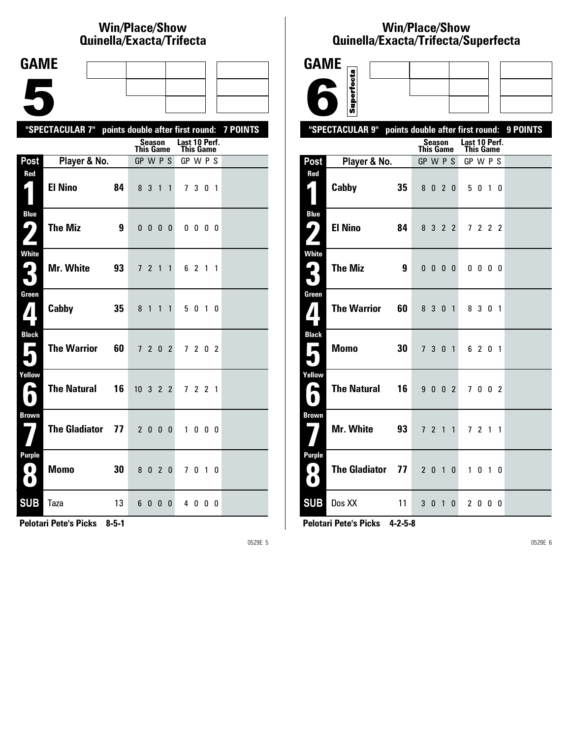## **Win/Place/Show Qui nel la/Exacta/Tri fecta**

| <b>GAME</b>                                     |                                                           |                         |                           |  |
|-------------------------------------------------|-----------------------------------------------------------|-------------------------|---------------------------|--|
|                                                 |                                                           |                         |                           |  |
|                                                 |                                                           |                         |                           |  |
|                                                 |                                                           |                         |                           |  |
|                                                 | "SPECTACULAR 7" points double after first round: 7 POINTS | Season                  | Last 10 Perf.             |  |
| Post                                            | Player & No.                                              | This Game<br>GP W P S   | This Game<br>GP W P S     |  |
| Red                                             |                                                           |                         |                           |  |
| 1                                               | <b>El Nino</b><br>84                                      | 8 3 1                   | 7 3 0 1<br>$\mathbf{1}$   |  |
| <b>Blue</b><br>ر ما<br>$\overline{\phantom{a}}$ | <b>The Miz</b><br>9                                       | $0\ 0\ 0\ 0$            | $0\,0\,0\,0$              |  |
| <b>White</b><br>2<br>7                          | Mr. White<br>93                                           | 7 2 1 1                 | 6 2 1 1                   |  |
| Green<br>$\boldsymbol{I}$                       | Cabby<br>35                                               | 8 1 1 1                 | 5 0 1 0                   |  |
| <b>Black</b><br>$\mathbf{r}$                    | <b>The Warrior</b><br>60                                  | 7 2 0 2                 | 7202                      |  |
| Yellow<br>Δ<br>$\blacksquare$                   | <b>The Natural</b><br>16                                  | $10 \t3 \t2 \t2$        | 7 2 2 1                   |  |
| <b>Brown</b>                                    | <b>The Gladiator</b><br>77                                | 2000                    | 1000                      |  |
| Purple<br>$\blacksquare$<br>$\mathbf{\Omega}$   | <b>Momo</b><br>30                                         | 8020                    | 7010                      |  |
| <b>SUB</b>                                      | Taza<br>13                                                | 6<br>$\Omega$<br>0<br>0 | 40<br>$\mathbf{0}$<br>- 0 |  |

**Pelotari Pete's Picks 8-5-1**

0529E 5

### **Win/Place/Show Qui nel la/Exacta/Tri fecta/Super fecta**



**Pelotari Pete's Picks 4-2-5-8**